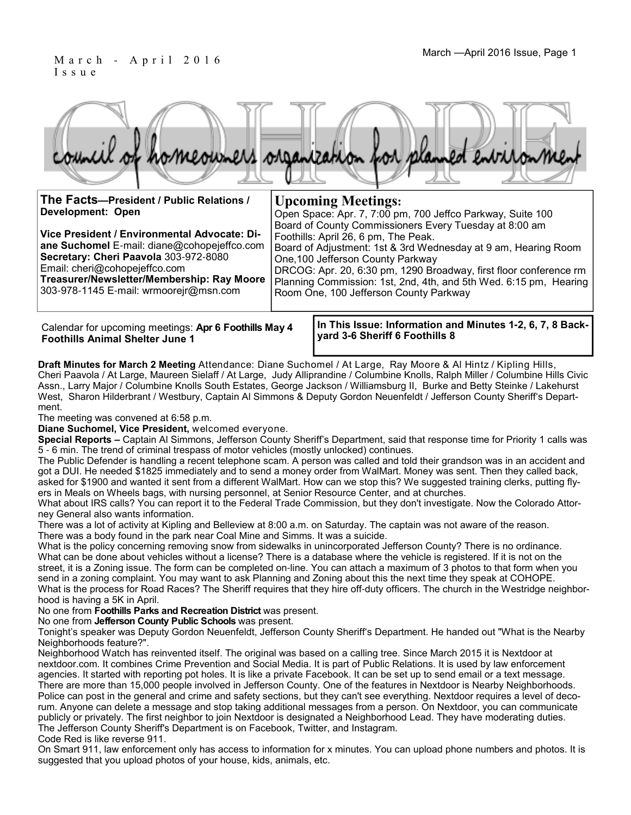### March - April 2016 Issue, Page 1 I s s u e

|                                          | council of homeowners organization for planned entronment |
|------------------------------------------|-----------------------------------------------------------|
| The Facts-President / Public Relations / | <b>Upcoming Meetings:</b>                                 |

| THE FACIS—President / Public Relations /     | <b>UPCOMMPRE MEETINGS:</b>                                        |  |  |
|----------------------------------------------|-------------------------------------------------------------------|--|--|
| <b>Development: Open</b>                     | Open Space: Apr. 7, 7:00 pm, 700 Jeffco Parkway, Suite 100        |  |  |
|                                              | Board of County Commissioners Every Tuesday at 8:00 am            |  |  |
| Vice President / Environmental Advocate: Di- | Foothills: April 26, 6 pm, The Peak.                              |  |  |
| ane Suchomel E-mail: diane@cohopejeffco.com  | Board of Adjustment: 1st & 3rd Wednesday at 9 am, Hearing Room    |  |  |
| Secretary: Cheri Paavola 303-972-8080        | One, 100 Jefferson County Parkway                                 |  |  |
| Email: cheri@cohopejeffco.com                | DRCOG: Apr. 20, 6:30 pm, 1290 Broadway, first floor conference rm |  |  |
| Treasurer/Newsletter/Membership: Ray Moore   | Planning Commission: 1st, 2nd, 4th, and 5th Wed. 6:15 pm, Hearing |  |  |
| 303-978-1145 E-mail: wrmoorejr@msn.com       | Room One, 100 Jefferson County Parkway                            |  |  |
|                                              |                                                                   |  |  |
|                                              |                                                                   |  |  |

Calendar for upcoming meetings: **Apr 6 Foothills May 4 Foothills Animal Shelter June 1**

**In This Issue: Information and Minutes 1-2, 6, 7, 8 Backyard 3-6 Sheriff 6 Foothills 8**

**Draft Minutes for March 2 Meeting** Attendance: Diane Suchomel / At Large, Ray Moore & Al Hintz / Kipling Hills, Cheri Paavola / At Large, Maureen Sielaff / At Large, Judy Alliprandine / Columbine Knolls, Ralph Miller / Columbine Hills Civic Assn., Larry Major / Columbine Knolls South Estates, George Jackson / Williamsburg II, Burke and Betty Steinke / Lakehurst West, Sharon Hilderbrant / Westbury, Captain Al Simmons & Deputy Gordon Neuenfeldt / Jefferson County Sheriff's Department.

The meeting was convened at 6:58 p.m.

**Diane Suchomel, Vice President,** welcomed everyone.

**Special Reports –** Captain Al Simmons, Jefferson County Sheriff's Department, said that response time for Priority 1 calls was 5 - 6 min. The trend of criminal trespass of motor vehicles (mostly unlocked) continues.

The Public Defender is handling a recent telephone scam. A person was called and told their grandson was in an accident and got a DUI. He needed \$1825 immediately and to send a money order from WalMart. Money was sent. Then they called back, asked for \$1900 and wanted it sent from a different WalMart. How can we stop this? We suggested training clerks, putting flyers in Meals on Wheels bags, with nursing personnel, at Senior Resource Center, and at churches.

What about IRS calls? You can report it to the Federal Trade Commission, but they don't investigate. Now the Colorado Attorney General also wants information.

There was a lot of activity at Kipling and Belleview at 8:00 a.m. on Saturday. The captain was not aware of the reason. There was a body found in the park near Coal Mine and Simms. It was a suicide.

What is the policy concerning removing snow from sidewalks in unincorporated Jefferson County? There is no ordinance. What can be done about vehicles without a license? There is a database where the vehicle is registered. If it is not on the street, it is a Zoning issue. The form can be completed on-line. You can attach a maximum of 3 photos to that form when you send in a zoning complaint. You may want to ask Planning and Zoning about this the next time they speak at COHOPE. What is the process for Road Races? The Sheriff requires that they hire off-duty officers. The church in the Westridge neighborhood is having a 5K in April.

No one from **Foothills Parks and Recreation District** was present.

No one from **Jefferson County Public Schools** was present.

Tonight's speaker was Deputy Gordon Neuenfeldt, Jefferson County Sheriff's Department. He handed out "What is the Nearby Neighborhoods feature?".

Neighborhood Watch has reinvented itself. The original was based on a calling tree. Since March 2015 it is Nextdoor at nextdoor.com. It combines Crime Prevention and Social Media. It is part of Public Relations. It is used by law enforcement agencies. It started with reporting pot holes. It is like a private Facebook. It can be set up to send email or a text message. There are more than 15,000 people involved in Jefferson County. One of the features in Nextdoor is Nearby Neighborhoods. Police can post in the general and crime and safety sections, but they can't see everything. Nextdoor requires a level of decorum. Anyone can delete a message and stop taking additional messages from a person. On Nextdoor, you can communicate publicly or privately. The first neighbor to join Nextdoor is designated a Neighborhood Lead. They have moderating duties. The Jefferson County Sheriff's Department is on Facebook, Twitter, and Instagram.

#### Code Red is like reverse 911.

On Smart 911, law enforcement only has access to information for x minutes. You can upload phone numbers and photos. It is suggested that you upload photos of your house, kids, animals, etc.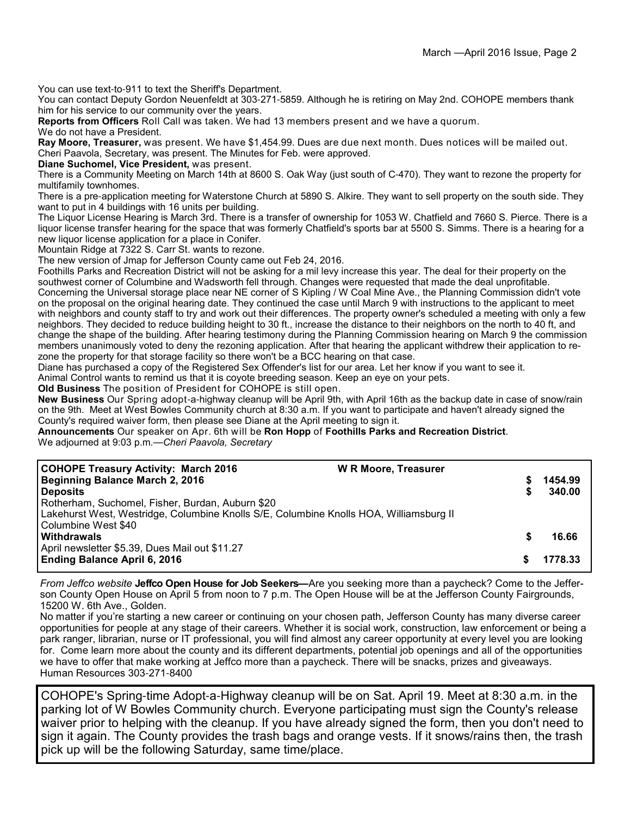You can use text-to-911 to text the Sheriff's Department.

You can contact Deputy Gordon Neuenfeldt at 303-271-5859. Although he is retiring on May 2nd. COHOPE members thank him for his service to our community over the years.

**Reports from Officers** Roll Call was taken. We had 13 members present and we have a quorum.

We do not have a President.

**Ray Moore, Treasurer,** was present. We have \$1,454.99. Dues are due next month. Dues notices will be mailed out. Cheri Paavola, Secretary, was present. The Minutes for Feb. were approved.

**Diane Suchomel, Vice President,** was present.

There is a Community Meeting on March 14th at 8600 S. Oak Way (just south of C-470). They want to rezone the property for multifamily townhomes.

There is a pre-application meeting for Waterstone Church at 5890 S. Alkire. They want to sell property on the south side. They want to put in 4 buildings with 16 units per building.

The Liquor License Hearing is March 3rd. There is a transfer of ownership for 1053 W. Chatfield and 7660 S. Pierce. There is a liquor license transfer hearing for the space that was formerly Chatfield's sports bar at 5500 S. Simms. There is a hearing for a new liquor license application for a place in Conifer.

Mountain Ridge at 7322 S. Carr St. wants to rezone.

The new version of Jmap for Jefferson County came out Feb 24, 2016.

Foothills Parks and Recreation District will not be asking for a mil levy increase this year. The deal for their property on the southwest corner of Columbine and Wadsworth fell through. Changes were requested that made the deal unprofitable. Concerning the Universal storage place near NE corner of S Kipling / W Coal Mine Ave., the Planning Commission didn't vote on the proposal on the original hearing date. They continued the case until March 9 with instructions to the applicant to meet with neighbors and county staff to try and work out their differences. The property owner's scheduled a meeting with only a few neighbors. They decided to reduce building height to 30 ft., increase the distance to their neighbors on the north to 40 ft, and change the shape of the building. After hearing testimony during the Planning Commission hearing on March 9 the commission members unanimously voted to deny the rezoning application. After that hearing the applicant withdrew their application to rezone the property for that storage facility so there won't be a BCC hearing on that case.

Diane has purchased a copy of the Registered Sex Offender's list for our area. Let her know if you want to see it.

Animal Control wants to remind us that it is coyote breeding season. Keep an eye on your pets.

**Old Business** The position of President for COHOPE is still open.

**New Business** Our Spring adopt-a-highway cleanup will be April 9th, with April 16th as the backup date in case of snow/rain on the 9th. Meet at West Bowles Community church at 8:30 a.m. If you want to participate and haven't already signed the County's required waiver form, then please see Diane at the April meeting to sign it.

**Announcements** Our speaker on Apr. 6th will be **Ron Hopp** of **Foothills Parks and Recreation District**. We adjourned at 9:03 p.m.—*Cheri Paavola, Secretary*

| <b>COHOPE Treasury Activity: March 2016</b><br>Beginning Balance March 2, 2016<br><b>Deposits</b><br>Rotherham, Suchomel, Fisher, Burdan, Auburn \$20<br>Lakehurst West, Westridge, Columbine Knolls S/E, Columbine Knolls HOA, Williamsburg II | <b>W R Moore, Treasurer</b> |   | 1454.99<br>340.00 |
|-------------------------------------------------------------------------------------------------------------------------------------------------------------------------------------------------------------------------------------------------|-----------------------------|---|-------------------|
| Columbine West \$40<br><b>Withdrawals</b><br>April newsletter \$5.39, Dues Mail out \$11.27<br><b>Ending Balance April 6, 2016</b>                                                                                                              |                             | S | 16.66<br>1778.33  |

*From Jeffco website* **Jeffco Open House for Job Seekers—**Are you seeking more than a paycheck? Come to the Jefferson County Open House on April 5 from noon to 7 p.m. The Open House will be at the Jefferson County Fairgrounds, 15200 W. 6th Ave., Golden.

No matter if you're starting a new career or continuing on your chosen path, Jefferson County has many diverse career opportunities for people at any stage of their careers. Whether it is social work, construction, law enforcement or being a park ranger, librarian, nurse or IT professional, you will find almost any career opportunity at every level you are looking for. Come learn more about the county and its different departments, potential job openings and all of the opportunities we have to offer that make working at Jeffco more than a paycheck. There will be snacks, prizes and giveaways. Human Resources 303-271-8400

COHOPE's Spring-time Adopt-a-Highway cleanup will be on Sat. April 19. Meet at 8:30 a.m. in the parking lot of W Bowles Community church. Everyone participating must sign the County's release waiver prior to helping with the cleanup. If you have already signed the form, then you don't need to sign it again. The County provides the trash bags and orange vests. If it snows/rains then, the trash pick up will be the following Saturday, same time/place.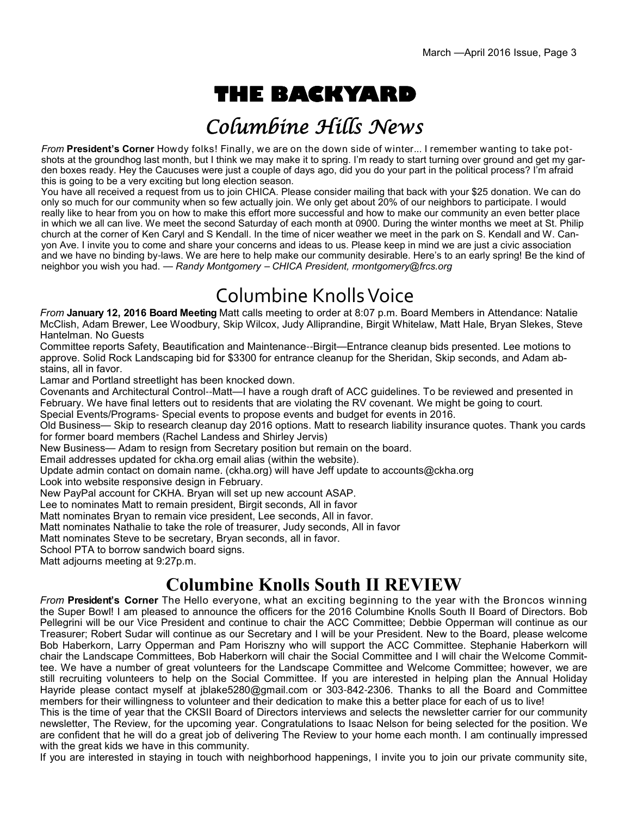# **THE BACKYARD**

## Columbine Hills News

*From* **President's Corner** Howdy folks! Finally, we are on the down side of winter... I remember wanting to take potshots at the groundhog last month, but I think we may make it to spring. I'm ready to start turning over ground and get my garden boxes ready. Hey the Caucuses were just a couple of days ago, did you do your part in the political process? I'm afraid this is going to be a very exciting but long election season.

You have all received a request from us to join CHICA. Please consider mailing that back with your \$25 donation. We can do only so much for our community when so few actually join. We only get about 20% of our neighbors to participate. I would really like to hear from you on how to make this effort more successful and how to make our community an even better place in which we all can live. We meet the second Saturday of each month at 0900. During the winter months we meet at St. Philip church at the corner of Ken Caryl and S Kendall. In the time of nicer weather we meet in the park on S. Kendall and W. Canyon Ave. I invite you to come and share your concerns and ideas to us. Please keep in mind we are just a civic association and we have no binding by-laws. We are here to help make our community desirable. Here's to an early spring! Be the kind of neighbor you wish you had. — *Randy Montgomery* – *CHICA President, rmontgomery@frcs.org*

## Columbine Knolls Voice

*From* **January 12, 2016 Board Meeting** Matt calls meeting to order at 8:07 p.m. Board Members in Attendance: Natalie McClish, Adam Brewer, Lee Woodbury, Skip Wilcox, Judy Alliprandine, Birgit Whitelaw, Matt Hale, Bryan Slekes, Steve Hantelman. No Guests

Committee reports Safety, Beautification and Maintenance--Birgit—Entrance cleanup bids presented. Lee motions to approve. Solid Rock Landscaping bid for \$3300 for entrance cleanup for the Sheridan, Skip seconds, and Adam abstains, all in favor.

Lamar and Portland streetlight has been knocked down.

Covenants and Architectural Control--Matt—I have a rough draft of ACC guidelines. To be reviewed and presented in February. We have final letters out to residents that are violating the RV covenant. We might be going to court.

Special Events/Programs- Special events to propose events and budget for events in 2016.

Old Business— Skip to research cleanup day 2016 options. Matt to research liability insurance quotes. Thank you cards for former board members (Rachel Landess and Shirley Jervis)

New Business— Adam to resign from Secretary position but remain on the board.

Email addresses updated for ckha.org email alias (within the website).

Update admin contact on domain name. (ckha.org) will have Jeff update to accounts@ckha.org

Look into website responsive design in February.

New PayPal account for CKHA. Bryan will set up new account ASAP.

Lee to nominates Matt to remain president, Birgit seconds, All in favor

Matt nominates Bryan to remain vice president, Lee seconds, All in favor.

Matt nominates Nathalie to take the role of treasurer, Judy seconds, All in favor

Matt nominates Steve to be secretary, Bryan seconds, all in favor.

School PTA to borrow sandwich board signs.

Matt adjourns meeting at 9:27p.m.

## **Columbine Knolls South II REVIEW**

*From* **President's Corner** The Hello everyone, what an exciting beginning to the year with the Broncos winning the Super Bowl! I am pleased to announce the officers for the 2016 Columbine Knolls South II Board of Directors. Bob Pellegrini will be our Vice President and continue to chair the ACC Committee; Debbie Opperman will continue as our Treasurer; Robert Sudar will continue as our Secretary and I will be your President. New to the Board, please welcome Bob Haberkorn, Larry Opperman and Pam Horiszny who will support the ACC Committee. Stephanie Haberkorn will chair the Landscape Committees, Bob Haberkorn will chair the Social Committee and I will chair the Welcome Committee. We have a number of great volunteers for the Landscape Committee and Welcome Committee; however, we are still recruiting volunteers to help on the Social Committee. If you are interested in helping plan the Annual Holiday Hayride please contact myself at jblake5280@gmail.com or 303-842-2306. Thanks to all the Board and Committee members for their willingness to volunteer and their dedication to make this a better place for each of us to live!

This is the time of year that the CKSII Board of Directors interviews and selects the newsletter carrier for our community newsletter, The Review, for the upcoming year. Congratulations to Isaac Nelson for being selected for the position. We are confident that he will do a great job of delivering The Review to your home each month. I am continually impressed with the great kids we have in this community.

If you are interested in staying in touch with neighborhood happenings, I invite you to join our private community site,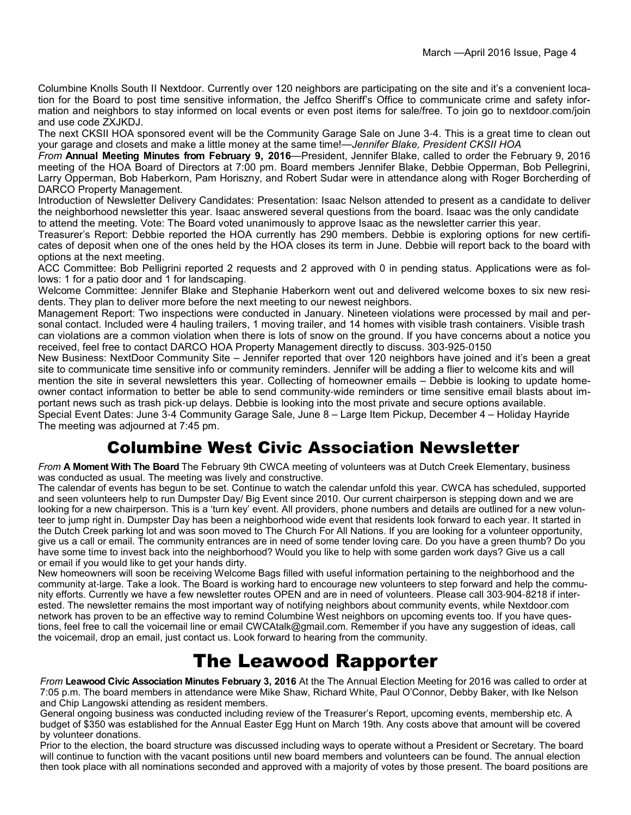Columbine Knolls South II Nextdoor. Currently over 120 neighbors are participating on the site and it's a convenient location for the Board to post time sensitive information, the Jeffco Sheriff's Office to communicate crime and safety information and neighbors to stay informed on local events or even post items for sale/free. To join go to nextdoor.com/join and use code ZXJKDJ.

The next CKSII HOA sponsored event will be the Community Garage Sale on June 3-4. This is a great time to clean out your garage and closets and make a little money at the same time!—*Jennifer Blake, President CKSII HOA*

*From* **Annual Meeting Minutes from February 9, 2016**—President, Jennifer Blake, called to order the February 9, 2016 meeting of the HOA Board of Directors at 7:00 pm. Board members Jennifer Blake, Debbie Opperman, Bob Pellegrini, Larry Opperman, Bob Haberkorn, Pam Horiszny, and Robert Sudar were in attendance along with Roger Borcherding of DARCO Property Management.

Introduction of Newsletter Delivery Candidates: Presentation: Isaac Nelson attended to present as a candidate to deliver the neighborhood newsletter this year. Isaac answered several questions from the board. Isaac was the only candidate to attend the meeting. Vote: The Board voted unanimously to approve Isaac as the newsletter carrier this year.

Treasurer's Report: Debbie reported the HOA currently has 290 members. Debbie is exploring options for new certificates of deposit when one of the ones held by the HOA closes its term in June. Debbie will report back to the board with options at the next meeting.

ACC Committee: Bob Pelligrini reported 2 requests and 2 approved with 0 in pending status. Applications were as follows: 1 for a patio door and 1 for landscaping.

Welcome Committee: Jennifer Blake and Stephanie Haberkorn went out and delivered welcome boxes to six new residents. They plan to deliver more before the next meeting to our newest neighbors.

Management Report: Two inspections were conducted in January. Nineteen violations were processed by mail and personal contact. Included were 4 hauling trailers, 1 moving trailer, and 14 homes with visible trash containers. Visible trash can violations are a common violation when there is lots of snow on the ground. If you have concerns about a notice you received, feel free to contact DARCO HOA Property Management directly to discuss. 303-925-0150

New Business: NextDoor Community Site – Jennifer reported that over 120 neighbors have joined and it's been a great site to communicate time sensitive info or community reminders. Jennifer will be adding a flier to welcome kits and will mention the site in several newsletters this year. Collecting of homeowner emails – Debbie is looking to update homeowner contact information to better be able to send community-wide reminders or time sensitive email blasts about important news such as trash pick-up delays. Debbie is looking into the most private and secure options available.

Special Event Dates: June 3-4 Community Garage Sale, June 8 – Large Item Pickup, December 4 – Holiday Hayride The meeting was adjourned at 7:45 pm.

## Columbine West Civic Association Newsletter

*From* **A Moment With The Board** The February 9th CWCA meeting of volunteers was at Dutch Creek Elementary, business was conducted as usual. The meeting was lively and constructive.

The calendar of events has begun to be set. Continue to watch the calendar unfold this year. CWCA has scheduled, supported and seen volunteers help to run Dumpster Day/ Big Event since 2010. Our current chairperson is stepping down and we are looking for a new chairperson. This is a 'turn key' event. All providers, phone numbers and details are outlined for a new volunteer to jump right in. Dumpster Day has been a neighborhood wide event that residents look forward to each year. It started in the Dutch Creek parking lot and was soon moved to The Church For All Nations. If you are looking for a volunteer opportunity, give us a call or email. The community entrances are in need of some tender loving care. Do you have a green thumb? Do you have some time to invest back into the neighborhood? Would you like to help with some garden work days? Give us a call or email if you would like to get your hands dirty.

New homeowners will soon be receiving Welcome Bags filled with useful information pertaining to the neighborhood and the community at-large. Take a look. The Board is working hard to encourage new volunteers to step forward and help the community efforts. Currently we have a few newsletter routes OPEN and are in need of volunteers. Please call 303-904-8218 if interested. The newsletter remains the most important way of notifying neighbors about community events, while Nextdoor.com network has proven to be an effective way to remind Columbine West neighbors on upcoming events too. If you have questions, feel free to call the voicemail line or email CWCAtalk@gmail.com. Remember if you have any suggestion of ideas, call the voicemail, drop an email, just contact us. Look forward to hearing from the community.

## The Leawood Rapporter

*From* **Leawood Civic Association Minutes February 3, 2016** At the The Annual Election Meeting for 2016 was called to order at 7:05 p.m. The board members in attendance were Mike Shaw, Richard White, Paul O'Connor, Debby Baker, with Ike Nelson and Chip Langowski attending as resident members.

General ongoing business was conducted including review of the Treasurer's Report, upcoming events, membership etc. A budget of \$350 was established for the Annual Easter Egg Hunt on March 19th. Any costs above that amount will be covered by volunteer donations.

Prior to the election, the board structure was discussed including ways to operate without a President or Secretary. The board will continue to function with the vacant positions until new board members and volunteers can be found. The annual election then took place with all nominations seconded and approved with a majority of votes by those present. The board positions are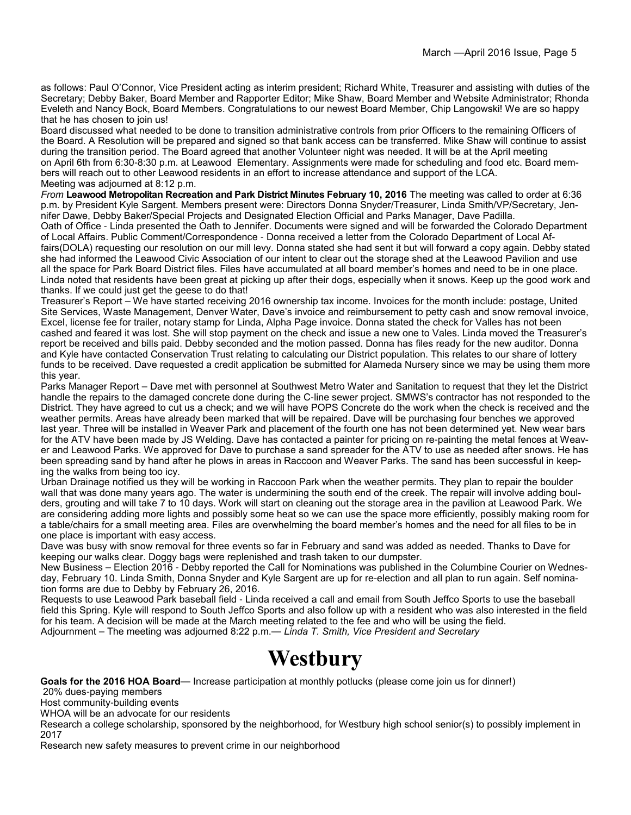as follows: Paul O'Connor, Vice President acting as interim president; Richard White, Treasurer and assisting with duties of the Secretary; Debby Baker, Board Member and Rapporter Editor; Mike Shaw, Board Member and Website Administrator; Rhonda Eveleth and Nancy Bock, Board Members. Congratulations to our newest Board Member, Chip Langowski! We are so happy that he has chosen to join us!

Board discussed what needed to be done to transition administrative controls from prior Officers to the remaining Officers of the Board. A Resolution will be prepared and signed so that bank access can be transferred. Mike Shaw will continue to assist during the transition period. The Board agreed that another Volunteer night was needed. It will be at the April meeting on April 6th from 6:30-8:30 p.m. at Leawood Elementary. Assignments were made for scheduling and food etc. Board members will reach out to other Leawood residents in an effort to increase attendance and support of the LCA. Meeting was adjourned at 8:12 p.m.

*From* **Leawood Metropolitan Recreation and Park District Minutes February 10, 2016** The meeting was called to order at 6:36 p.m. by President Kyle Sargent. Members present were: Directors Donna Snyder/Treasurer, Linda Smith/VP/Secretary, Jennifer Dawe, Debby Baker/Special Projects and Designated Election Official and Parks Manager, Dave Padilla.

Oath of Office - Linda presented the Oath to Jennifer. Documents were signed and will be forwarded the Colorado Department of Local Affairs. Public Comment/Correspondence - Donna received a letter from the Colorado Department of Local Affairs(DOLA) requesting our resolution on our mill levy. Donna stated she had sent it but will forward a copy again. Debby stated she had informed the Leawood Civic Association of our intent to clear out the storage shed at the Leawood Pavilion and use all the space for Park Board District files. Files have accumulated at all board member's homes and need to be in one place. Linda noted that residents have been great at picking up after their dogs, especially when it snows. Keep up the good work and thanks. If we could just get the geese to do that!

Treasurer's Report – We have started receiving 2016 ownership tax income. Invoices for the month include: postage, United Site Services, Waste Management, Denver Water, Dave's invoice and reimbursement to petty cash and snow removal invoice, Excel, license fee for trailer, notary stamp for Linda, Alpha Page invoice. Donna stated the check for Valles has not been cashed and feared it was lost. She will stop payment on the check and issue a new one to Vales. Linda moved the Treasurer's report be received and bills paid. Debby seconded and the motion passed. Donna has files ready for the new auditor. Donna and Kyle have contacted Conservation Trust relating to calculating our District population. This relates to our share of lottery funds to be received. Dave requested a credit application be submitted for Alameda Nursery since we may be using them more this year.

Parks Manager Report – Dave met with personnel at Southwest Metro Water and Sanitation to request that they let the District handle the repairs to the damaged concrete done during the C-line sewer project. SMWS's contractor has not responded to the District. They have agreed to cut us a check; and we will have POPS Concrete do the work when the check is received and the weather permits. Areas have already been marked that will be repaired. Dave will be purchasing four benches we approved last year. Three will be installed in Weaver Park and placement of the fourth one has not been determined yet. New wear bars for the ATV have been made by JS Welding. Dave has contacted a painter for pricing on re-painting the metal fences at Weaver and Leawood Parks. We approved for Dave to purchase a sand spreader for the ATV to use as needed after snows. He has been spreading sand by hand after he plows in areas in Raccoon and Weaver Parks. The sand has been successful in keeping the walks from being too icy.

Urban Drainage notified us they will be working in Raccoon Park when the weather permits. They plan to repair the boulder wall that was done many years ago. The water is undermining the south end of the creek. The repair will involve adding boulders, grouting and will take 7 to 10 days. Work will start on cleaning out the storage area in the pavilion at Leawood Park. We are considering adding more lights and possibly some heat so we can use the space more efficiently, possibly making room for a table/chairs for a small meeting area. Files are overwhelming the board member's homes and the need for all files to be in one place is important with easy access.

Dave was busy with snow removal for three events so far in February and sand was added as needed. Thanks to Dave for keeping our walks clear. Doggy bags were replenished and trash taken to our dumpster.

New Business – Election 2016 - Debby reported the Call for Nominations was published in the Columbine Courier on Wednesday, February 10. Linda Smith, Donna Snyder and Kyle Sargent are up for re-election and all plan to run again. Self nomination forms are due to Debby by February 26, 2016.

Requests to use Leawood Park baseball field - Linda received a call and email from South Jeffco Sports to use the baseball field this Spring. Kyle will respond to South Jeffco Sports and also follow up with a resident who was also interested in the field for his team. A decision will be made at the March meeting related to the fee and who will be using the field. Adjournment – The meeting was adjourned 8:22 p.m.— *Linda T. Smith, Vice President and Secretary*

# **Westbury**

**Goals for the 2016 HOA Board**— Increase participation at monthly potlucks (please come join us for dinner!)

20% dues-paying members

Host community-building events

WHOA will be an advocate for our residents

Research a college scholarship, sponsored by the neighborhood, for Westbury high school senior(s) to possibly implement in 2017

Research new safety measures to prevent crime in our neighborhood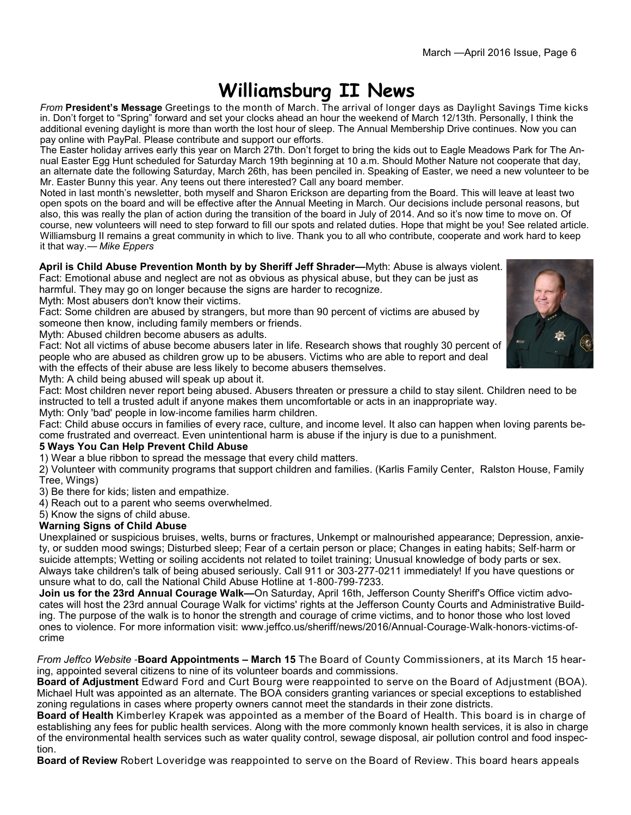## **Williamsburg II News**

*From* **President's Message** Greetings to the month of March. The arrival of longer days as Daylight Savings Time kicks in. Don't forget to "Spring" forward and set your clocks ahead an hour the weekend of March 12/13th. Personally, I think the additional evening daylight is more than worth the lost hour of sleep. The Annual Membership Drive continues. Now you can pay online with PayPal. Please contribute and support our efforts.

The Easter holiday arrives early this year on March 27th. Don't forget to bring the kids out to Eagle Meadows Park for The Annual Easter Egg Hunt scheduled for Saturday March 19th beginning at 10 a.m. Should Mother Nature not cooperate that day, an alternate date the following Saturday, March 26th, has been penciled in. Speaking of Easter, we need a new volunteer to be Mr. Easter Bunny this year. Any teens out there interested? Call any board member.

Noted in last month's newsletter, both myself and Sharon Erickson are departing from the Board. This will leave at least two open spots on the board and will be effective after the Annual Meeting in March. Our decisions include personal reasons, but also, this was really the plan of action during the transition of the board in July of 2014. And so it's now time to move on. Of course, new volunteers will need to step forward to fill our spots and related duties. Hope that might be you! See related article. Williamsburg II remains a great community in which to live. Thank you to all who contribute, cooperate and work hard to keep it that way.— *Mike Eppers*

**April is Child Abuse Prevention Month by by Sheriff Jeff Shrader—**Myth: Abuse is always violent. Fact: Emotional abuse and neglect are not as obvious as physical abuse, but they can be just as harmful. They may go on longer because the signs are harder to recognize.

Myth: Most abusers don't know their victims.

Fact: Some children are abused by strangers, but more than 90 percent of victims are abused by someone then know, including family members or friends.

Myth: Abused children become abusers as adults.

Fact: Not all victims of abuse become abusers later in life. Research shows that roughly 30 percent of people who are abused as children grow up to be abusers. Victims who are able to report and deal with the effects of their abuse are less likely to become abusers themselves.



Myth: A child being abused will speak up about it.

Fact: Most children never report being abused. Abusers threaten or pressure a child to stay silent. Children need to be instructed to tell a trusted adult if anyone makes them uncomfortable or acts in an inappropriate way.

Myth: Only 'bad' people in low-income families harm children.

Fact: Child abuse occurs in families of every race, culture, and income level. It also can happen when loving parents become frustrated and overreact. Even unintentional harm is abuse if the injury is due to a punishment.

### **5 Ways You Can Help Prevent Child Abuse**

1) Wear a blue ribbon to spread the message that every child matters.

2) Volunteer with community programs that support children and families. (Karlis Family Center, Ralston House, Family Tree, Wings)

3) Be there for kids; listen and empathize.

4) Reach out to a parent who seems overwhelmed.

5) Know the signs of child abuse.

### **Warning Signs of Child Abuse**

Unexplained or suspicious bruises, welts, burns or fractures, Unkempt or malnourished appearance; Depression, anxiety, or sudden mood swings; Disturbed sleep; Fear of a certain person or place; Changes in eating habits; Self-harm or suicide attempts; Wetting or soiling accidents not related to toilet training; Unusual knowledge of body parts or sex. Always take children's talk of being abused seriously. Call 911 or 303-277-0211 immediately! If you have questions or unsure what to do, call the National Child Abuse Hotline at 1-800-799-7233.

**Join us for the 23rd Annual Courage Walk—**On Saturday, April 16th, Jefferson County Sheriff's Office victim advocates will host the 23rd annual Courage Walk for victims' rights at the Jefferson County Courts and Administrative Building. The purpose of the walk is to honor the strength and courage of crime victims, and to honor those who lost loved ones to violence. For more information visit: www.jeffco.us/sheriff/news/2016/Annual-Courage-Walk-honors-victims-ofcrime

*From Jeffco Website* -**Board Appointments – March 15** The Board of County Commissioners, at its March 15 hearing, appointed several citizens to nine of its volunteer boards and commissions.

**Board of Adjustment** Edward Ford and Curt Bourg were reappointed to serve on the Board of Adjustment (BOA). Michael Hult was appointed as an alternate. The BOA considers granting variances or special exceptions to established zoning regulations in cases where property owners cannot meet the standards in their zone districts.

**Board of Health** Kimberley Krapek was appointed as a member of the Board of Health. This board is in charge of establishing any fees for public health services. Along with the more commonly known health services, it is also in charge of the environmental health services such as water quality control, sewage disposal, air pollution control and food inspection.

**Board of Review** Robert Loveridge was reappointed to serve on the Board of Review. This board hears appeals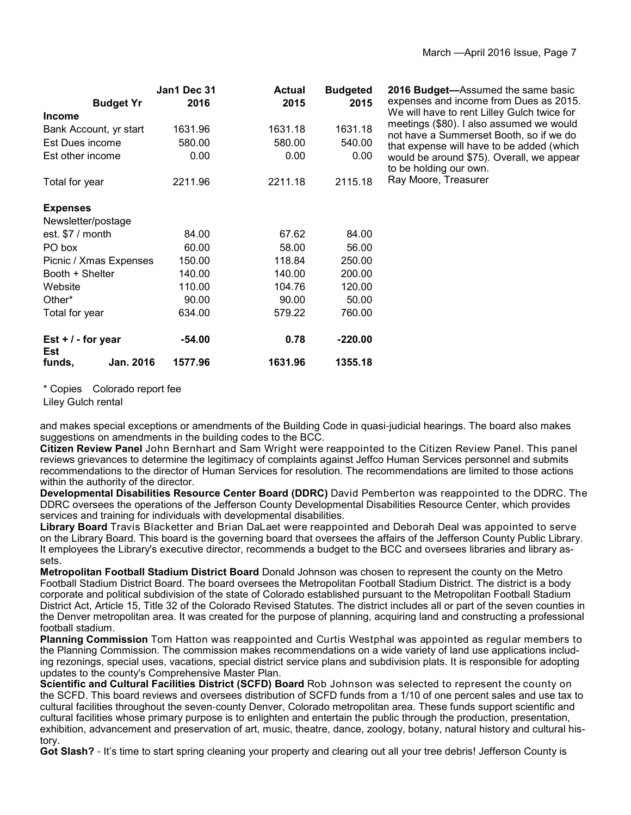|                             | Jan1 Dec 31 | <b>Actual</b> | <b>Budgeted</b> | 2016 Budget-Assumed the same basic                                                  |
|-----------------------------|-------------|---------------|-----------------|-------------------------------------------------------------------------------------|
| <b>Budget Yr</b>            | 2016        | 2015          | 2015            | expenses and income from Dues as 2015.                                              |
| <b>Income</b>               |             |               |                 | We will have to rent Lilley Gulch twice for                                         |
| Bank Account, yr start      | 1631.96     | 1631.18       | 1631.18         | meetings (\$80). I also assumed we would<br>not have a Summerset Booth, so if we do |
| Est Dues income             | 580.00      | 580.00        | 540.00          | that expense will have to be added (which                                           |
| Est other income            | 0.00        | 0.00          | 0.00            | would be around \$75). Overall, we appear<br>to be holding our own.                 |
| Total for year              | 2211.96     | 2211.18       | 2115.18         | Ray Moore, Treasurer                                                                |
| <b>Expenses</b>             |             |               |                 |                                                                                     |
| Newsletter/postage          |             |               |                 |                                                                                     |
| est. $$7 /$ month           | 84.00       | 67.62         | 84.00           |                                                                                     |
| PO box                      | 60.00       | 58.00         | 56.00           |                                                                                     |
| Picnic / Xmas Expenses      | 150.00      | 118.84        | 250.00          |                                                                                     |
| Booth + Shelter             | 140.00      | 140.00        | 200.00          |                                                                                     |
| Website                     | 110.00      | 104.76        | 120.00          |                                                                                     |
| Other*                      | 90.00       | 90.00         | 50.00           |                                                                                     |
| Total for year              | 634.00      | 579.22        | 760.00          |                                                                                     |
| Est $+$ / - for year<br>Est | $-54.00$    | 0.78          | $-220.00$       |                                                                                     |
| Jan. 2016<br>funds.         | 1577.96     | 1631.96       | 1355.18         |                                                                                     |

\* Copies Colorado report fee

Liley Gulch rental

and makes special exceptions or amendments of the Building Code in quasi-judicial hearings. The board also makes suggestions on amendments in the building codes to the BCC.

**Citizen Review Panel** John Bernhart and Sam Wright were reappointed to the Citizen Review Panel. This panel reviews grievances to determine the legitimacy of complaints against Jeffco Human Services personnel and submits recommendations to the director of Human Services for resolution. The recommendations are limited to those actions within the authority of the director.

**Developmental Disabilities Resource Center Board (DDRC)** David Pemberton was reappointed to the DDRC. The DDRC oversees the operations of the Jefferson County Developmental Disabilities Resource Center, which provides services and training for individuals with developmental disabilities.

**Library Board** Travis Blacketter and Brian DaLaet were reappointed and Deborah Deal was appointed to serve on the Library Board. This board is the governing board that oversees the affairs of the Jefferson County Public Library. It employees the Library's executive director, recommends a budget to the BCC and oversees libraries and library assets.

**Metropolitan Football Stadium District Board** Donald Johnson was chosen to represent the county on the Metro Football Stadium District Board. The board oversees the Metropolitan Football Stadium District. The district is a body corporate and political subdivision of the state of Colorado established pursuant to the Metropolitan Football Stadium District Act, Article 15, Title 32 of the Colorado Revised Statutes. The district includes all or part of the seven counties in the Denver metropolitan area. It was created for the purpose of planning, acquiring land and constructing a professional football stadium.

**Planning Commission** Tom Hatton was reappointed and Curtis Westphal was appointed as regular members to the Planning Commission. The commission makes recommendations on a wide variety of land use applications including rezonings, special uses, vacations, special district service plans and subdivision plats. It is responsible for adopting updates to the county's Comprehensive Master Plan.

**Scientific and Cultural Facilities District (SCFD) Board** Rob Johnson was selected to represent the county on the SCFD. This board reviews and oversees distribution of SCFD funds from a 1/10 of one percent sales and use tax to cultural facilities throughout the seven-county Denver, Colorado metropolitan area. These funds support scientific and cultural facilities whose primary purpose is to enlighten and entertain the public through the production, presentation, exhibition, advancement and preservation of art, music, theatre, dance, zoology, botany, natural history and cultural history.

**Got Slash?** - It's time to start spring cleaning your property and clearing out all your tree debris! Jefferson County is